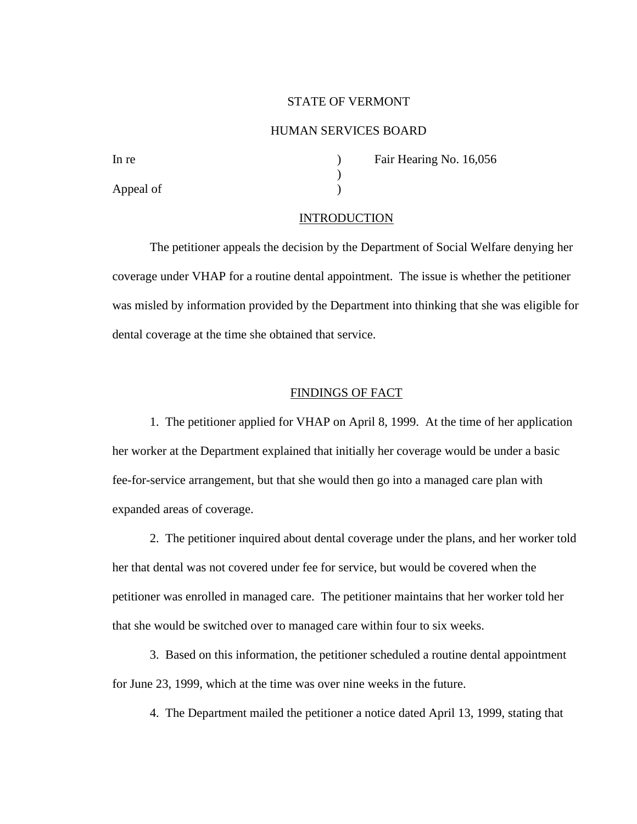### STATE OF VERMONT

### HUMAN SERVICES BOARD

Appeal of  $\qquad \qquad$  )

In re **In re** and **Fair Hearing No. 16,056** 

## **INTRODUCTION**

)

The petitioner appeals the decision by the Department of Social Welfare denying her coverage under VHAP for a routine dental appointment. The issue is whether the petitioner was misled by information provided by the Department into thinking that she was eligible for dental coverage at the time she obtained that service.

#### FINDINGS OF FACT

1. The petitioner applied for VHAP on April 8, 1999. At the time of her application her worker at the Department explained that initially her coverage would be under a basic fee-for-service arrangement, but that she would then go into a managed care plan with expanded areas of coverage.

2. The petitioner inquired about dental coverage under the plans, and her worker told her that dental was not covered under fee for service, but would be covered when the petitioner was enrolled in managed care. The petitioner maintains that her worker told her that she would be switched over to managed care within four to six weeks.

3. Based on this information, the petitioner scheduled a routine dental appointment for June 23, 1999, which at the time was over nine weeks in the future.

4. The Department mailed the petitioner a notice dated April 13, 1999, stating that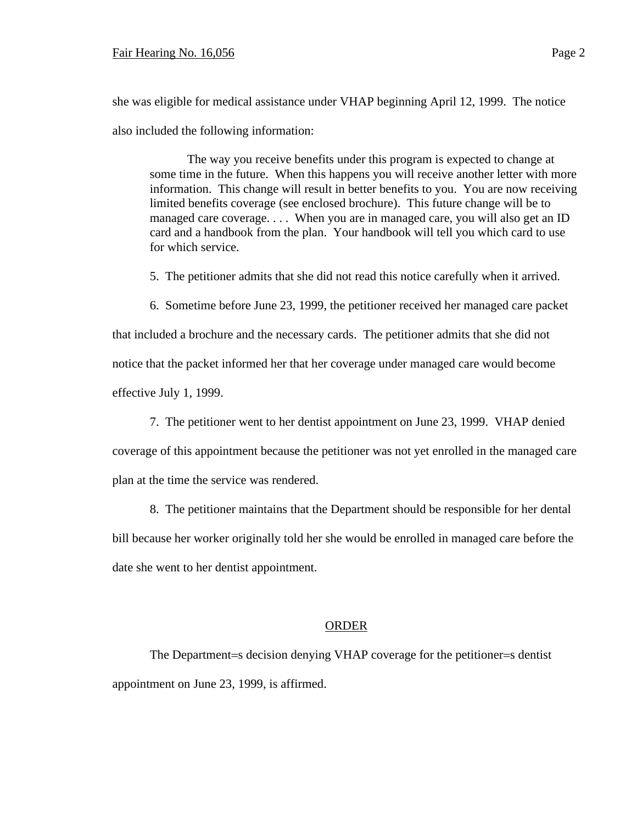she was eligible for medical assistance under VHAP beginning April 12, 1999. The notice also included the following information:

The way you receive benefits under this program is expected to change at some time in the future. When this happens you will receive another letter with more information. This change will result in better benefits to you. You are now receiving limited benefits coverage (see enclosed brochure). This future change will be to managed care coverage. . . . When you are in managed care, you will also get an ID card and a handbook from the plan. Your handbook will tell you which card to use for which service.

5. The petitioner admits that she did not read this notice carefully when it arrived.

6. Sometime before June 23, 1999, the petitioner received her managed care packet

that included a brochure and the necessary cards. The petitioner admits that she did not notice that the packet informed her that her coverage under managed care would become effective July 1, 1999.

7. The petitioner went to her dentist appointment on June 23, 1999. VHAP denied

coverage of this appointment because the petitioner was not yet enrolled in the managed care plan at the time the service was rendered.

8. The petitioner maintains that the Department should be responsible for her dental

bill because her worker originally told her she would be enrolled in managed care before the date she went to her dentist appointment.

# ORDER

The Department=s decision denying VHAP coverage for the petitioner=s dentist appointment on June 23, 1999, is affirmed.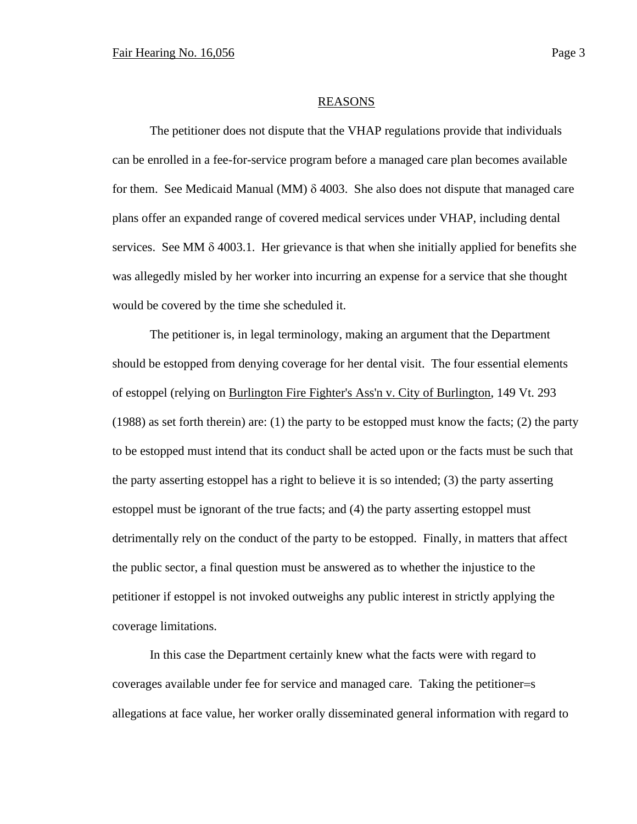#### REASONS

The petitioner does not dispute that the VHAP regulations provide that individuals can be enrolled in a fee-for-service program before a managed care plan becomes available for them. See Medicaid Manual (MM)  $\delta$  4003. She also does not dispute that managed care plans offer an expanded range of covered medical services under VHAP, including dental services. See MM  $\delta$  4003.1. Her grievance is that when she initially applied for benefits she was allegedly misled by her worker into incurring an expense for a service that she thought would be covered by the time she scheduled it.

The petitioner is, in legal terminology, making an argument that the Department should be estopped from denying coverage for her dental visit. The four essential elements of estoppel (relying on Burlington Fire Fighter's Ass'n v. City of Burlington, 149 Vt. 293 (1988) as set forth therein) are: (1) the party to be estopped must know the facts; (2) the party to be estopped must intend that its conduct shall be acted upon or the facts must be such that the party asserting estoppel has a right to believe it is so intended; (3) the party asserting estoppel must be ignorant of the true facts; and (4) the party asserting estoppel must detrimentally rely on the conduct of the party to be estopped. Finally, in matters that affect the public sector, a final question must be answered as to whether the injustice to the petitioner if estoppel is not invoked outweighs any public interest in strictly applying the coverage limitations.

In this case the Department certainly knew what the facts were with regard to coverages available under fee for service and managed care. Taking the petitioner=s allegations at face value, her worker orally disseminated general information with regard to